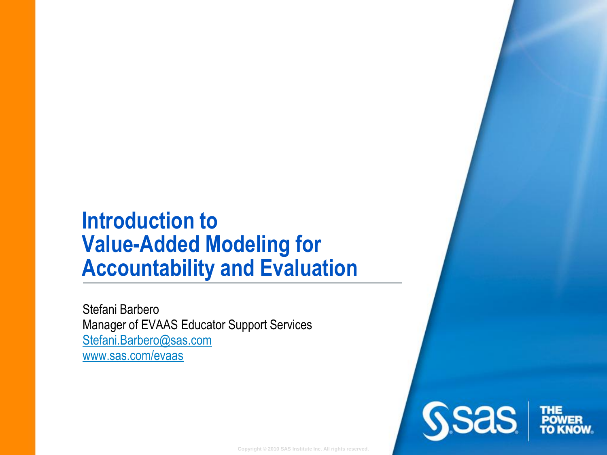#### **Introduction to Value-Added Modeling for Accountability and Evaluation**

Stefani Barbero Manager of EVAAS Educator Support Services [Stefani.Barbero@sas.com](mailto:stefani/.barbero@sas.com) [www.sas.com/evaas](http://www.sas.com/evaas)

**Copyright © 2010 SAS Institute Inc. All rights reserved.**

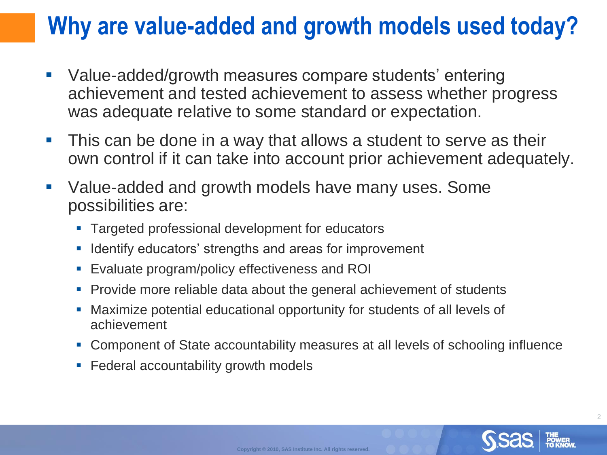#### **Why are value-added and growth models used today?**

- Value-added/growth measures compare students' entering achievement and tested achievement to assess whether progress was adequate relative to some standard or expectation.
- **This can be done in a way that allows a student to serve as their** own control if it can take into account prior achievement adequately.
- Value-added and growth models have many uses. Some possibilities are:
	- **Targeted professional development for educators**
	- **If Identify educators' strengths and areas for improvement**
	- Evaluate program/policy effectiveness and ROI
	- **Provide more reliable data about the general achievement of students**
	- Maximize potential educational opportunity for students of all levels of achievement
	- Component of State accountability measures at all levels of schooling influence
	- **Federal accountability growth models**

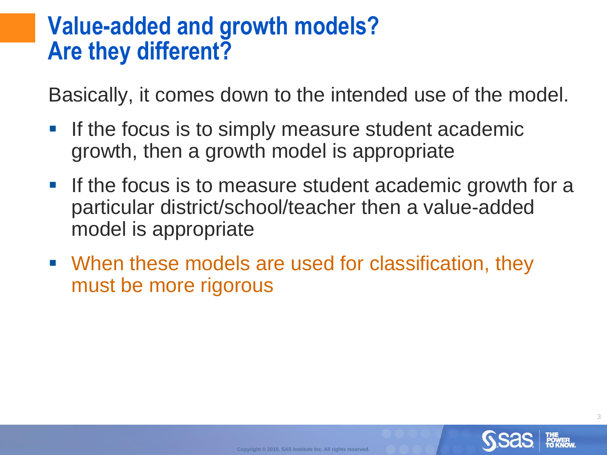#### **Value-added and growth models? Are they different?**

Basically, it comes down to the intended use of the model.

- **If the focus is to simply measure student academic** growth, then a growth model is appropriate
- If the focus is to measure student academic growth for a particular district/school/teacher then a value-added model is appropriate
- When these models are used for classification, they must be more rigorous

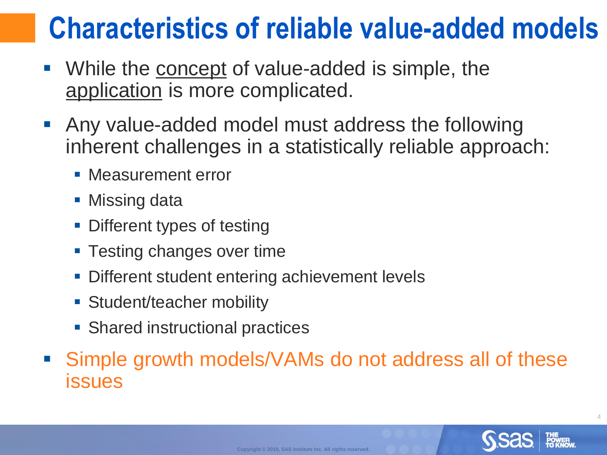### **Characteristics of reliable value-added models**

- While the concept of value-added is simple, the application is more complicated.
- Any value-added model must address the following inherent challenges in a statistically reliable approach:
	- **Measurement error**
	- Missing data
	- **Different types of testing**
	- **Testing changes over time**
	- Different student entering achievement levels
	- **Student/teacher mobility**
	- **Shared instructional practices**
- Simple growth models/VAMs do not address all of these issues

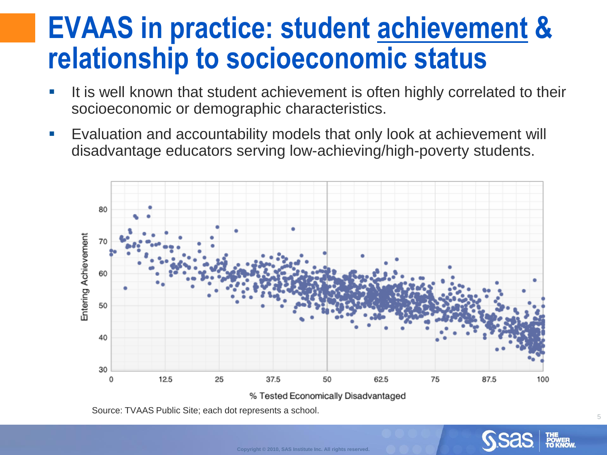#### **EVAAS in practice: student achievement & relationship to socioeconomic status**

- It is well known that student achievement is often highly correlated to their socioeconomic or demographic characteristics.
- **Exaluation and accountability models that only look at achievement will** disadvantage educators serving low-achieving/high-poverty students.



**Copyright © 2010, SAS Institute Inc. All rights reserved.**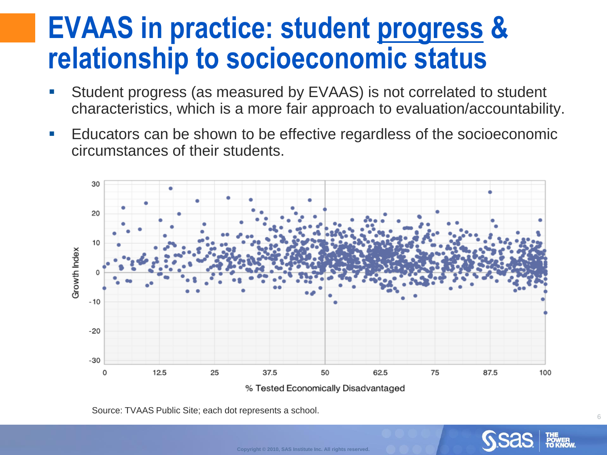#### **EVAAS in practice: student progress & relationship to socioeconomic status**

- Student progress (as measured by EVAAS) is not correlated to student characteristics, which is a more fair approach to evaluation/accountability.
- **E** Educators can be shown to be effective regardless of the socioeconomic circumstances of their students.



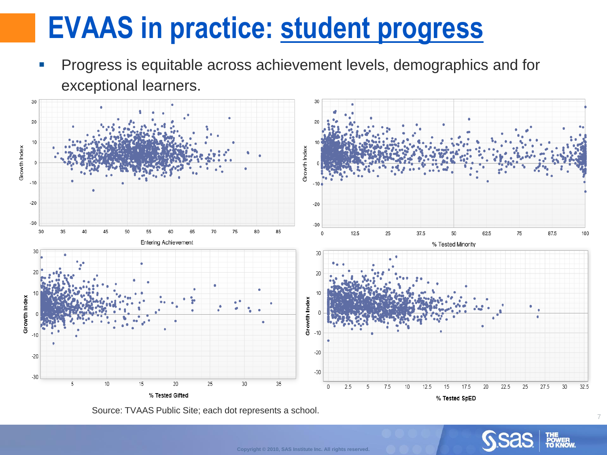## **EVAAS in practice: student progress**

**Progress is equitable across achievement levels, demographics and for** exceptional learners.



Source: TVAAS Public Site; each dot represents a school.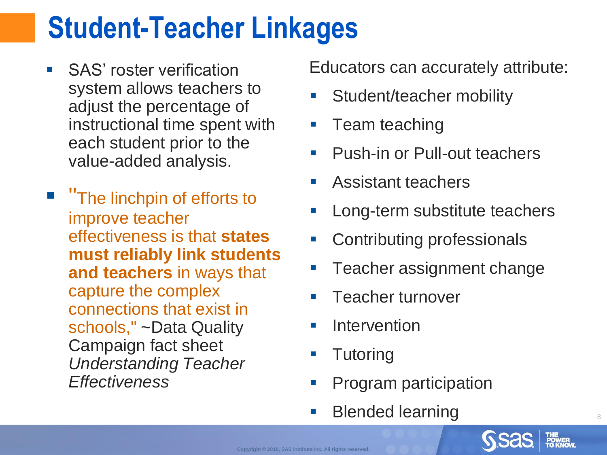# **Student-Teacher Linkages**

- **SAS**' roster verification system allows teachers to adjust the percentage of instructional time spent with each student prior to the value-added analysis.
- **The linchpin of efforts to** improve teacher effectiveness is that **states must reliably link students and teachers** in ways that capture the complex connections that exist in schools," ~Data Quality Campaign fact sheet *Understanding Teacher Effectiveness*

Educators can accurately attribute:

- Student/teacher mobility
- Team teaching
- **Push-in or Pull-out teachers**
- **Assistant teachers**
- Long-term substitute teachers
- Contributing professionals
- Teacher assignment change

- Teacher turnover
- **Intervention**
- Tutoring
- **Program participation**
- **Blended learning**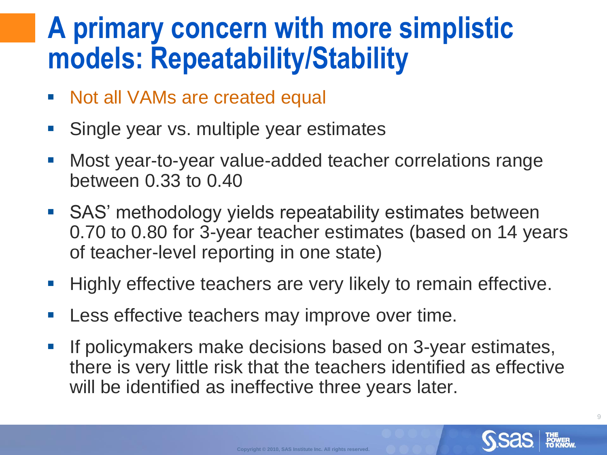#### **A primary concern with more simplistic models: Repeatability/Stability**

- Not all VAMs are created equal
- Single year vs. multiple year estimates
- Most year-to-year value-added teacher correlations range between 0.33 to 0.40
- SAS' methodology yields repeatability estimates between 0.70 to 0.80 for 3-year teacher estimates (based on 14 years of teacher-level reporting in one state)
- Highly effective teachers are very likely to remain effective.
- Less effective teachers may improve over time.
- If policymakers make decisions based on 3-year estimates, there is very little risk that the teachers identified as effective will be identified as ineffective three years later.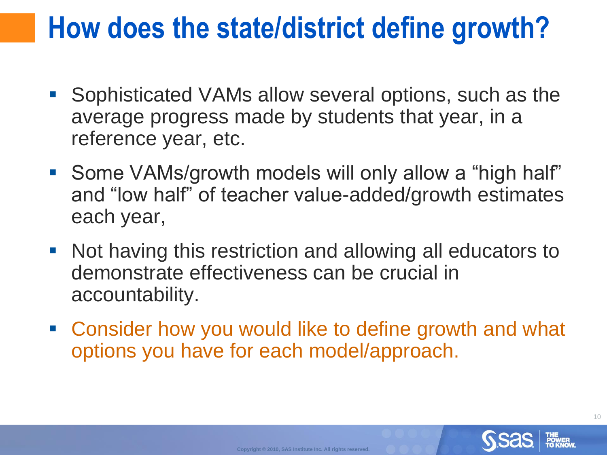### **How does the state/district define growth?**

- Sophisticated VAMs allow several options, such as the average progress made by students that year, in a reference year, etc.
- Some VAMs/growth models will only allow a "high half" and "low half" of teacher value-added/growth estimates each year,
- Not having this restriction and allowing all educators to demonstrate effectiveness can be crucial in accountability.
- Consider how you would like to define growth and what options you have for each model/approach.

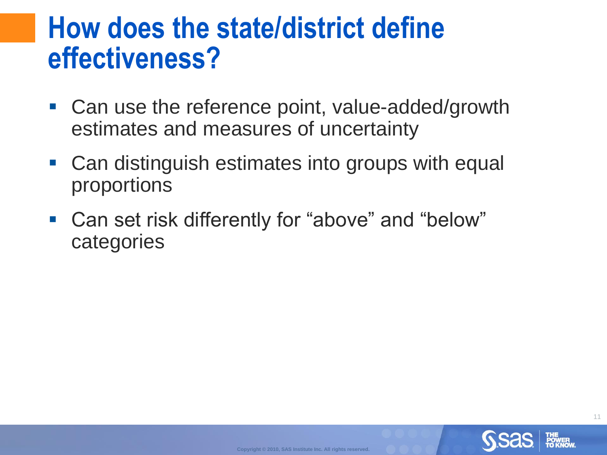#### **How does the state/district define effectiveness?**

- Can use the reference point, value-added/growth estimates and measures of uncertainty
- Can distinguish estimates into groups with equal proportions
- Can set risk differently for "above" and "below" categories

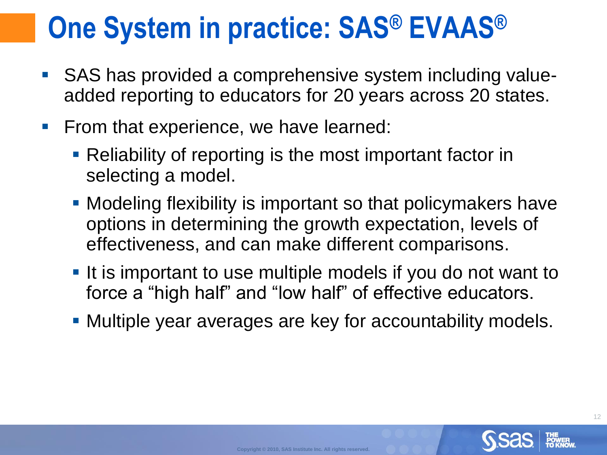# **One System in practice: SAS® EVAAS®**

- SAS has provided a comprehensive system including valueadded reporting to educators for 20 years across 20 states.
- **Firm that experience, we have learned:** 
	- **Reliability of reporting is the most important factor in** selecting a model.
	- **Modeling flexibility is important so that policymakers have** options in determining the growth expectation, levels of effectiveness, and can make different comparisons.
	- If is important to use multiple models if you do not want to force a "high half" and "low half" of effective educators.
	- Multiple year averages are key for accountability models.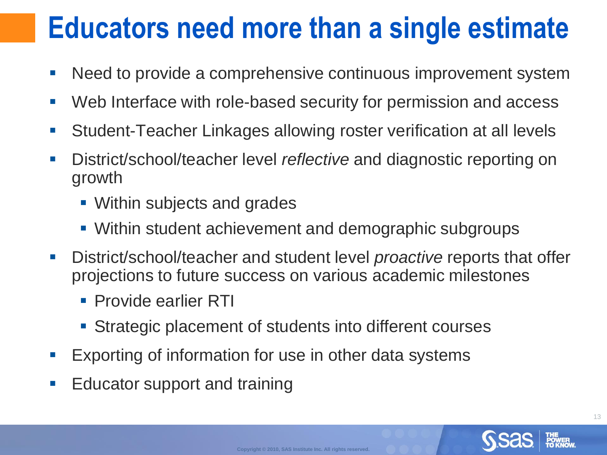## **Educators need more than a single estimate**

- Need to provide a comprehensive continuous improvement system
- Web Interface with role-based security for permission and access
- Student-Teacher Linkages allowing roster verification at all levels
- District/school/teacher level *reflective* and diagnostic reporting on growth
	- **Within subjects and grades**
	- **Within student achievement and demographic subgroups**
- District/school/teacher and student level *proactive* reports that offer projections to future success on various academic milestones
	- **Provide earlier RTI**
	- **Strategic placement of students into different courses**
- **Exporting of information for use in other data systems**
- **Educator support and training**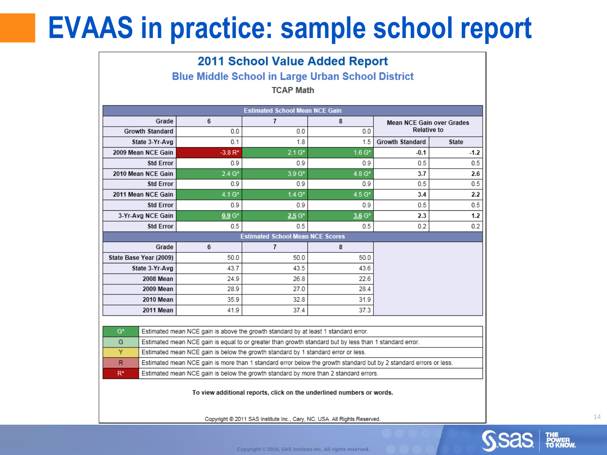## **EVAAS in practice: sample school report**

| <b>2011 School Value Added Report</b>                    |                                                                                                                   |                      |                 |                 |                                                        |              |  |  |  |  |
|----------------------------------------------------------|-------------------------------------------------------------------------------------------------------------------|----------------------|-----------------|-----------------|--------------------------------------------------------|--------------|--|--|--|--|
| <b>Blue Middle School in Large Urban School District</b> |                                                                                                                   |                      |                 |                 |                                                        |              |  |  |  |  |
| <b>TCAP Math</b>                                         |                                                                                                                   |                      |                 |                 |                                                        |              |  |  |  |  |
|                                                          |                                                                                                                   |                      |                 |                 |                                                        |              |  |  |  |  |
| <b>Estimated School Mean NCE Gain</b>                    |                                                                                                                   |                      |                 |                 |                                                        |              |  |  |  |  |
|                                                          | Grade                                                                                                             | 6                    | $\overline{7}$  | 8               | <b>Mean NCE Gain over Grades</b><br><b>Relative to</b> |              |  |  |  |  |
|                                                          | <b>Growth Standard</b>                                                                                            | 0.0                  | 0.0             | 0.0             |                                                        |              |  |  |  |  |
|                                                          | State 3-Yr-Avg                                                                                                    | 0.1                  | 1.8             | 1.5             | <b>Growth Standard</b>                                 | <b>State</b> |  |  |  |  |
| 2009 Mean NCE Gain                                       |                                                                                                                   | $-3.8R*$             | $2.1 G*$        | $1.6 G*$        | -0.1                                                   | $-1.2$       |  |  |  |  |
|                                                          | <b>Std Error</b>                                                                                                  | 0.9                  | 0.9             | 0.9             | 0.5                                                    | 0.5          |  |  |  |  |
| 2010 Mean NCE Gain                                       |                                                                                                                   | $2.4 \,\mathrm{G}^*$ | 3.9 G*          | 4.8 G*          | 3.7                                                    | 2.6          |  |  |  |  |
|                                                          | <b>Std Error</b>                                                                                                  | 0.9<br>$4.1 G*$      | 0.9<br>$1.4 G*$ | 0.9<br>$4.5 G*$ | 0.5                                                    | 0.5          |  |  |  |  |
|                                                          | 2011 Mean NCE Gain                                                                                                |                      |                 |                 | 3.4                                                    | 2.2          |  |  |  |  |
|                                                          | <b>Std Error</b>                                                                                                  | 0.9                  | 0.9             | 0.9             | 0.5                                                    | 0.5          |  |  |  |  |
|                                                          | 3-Yr-Avg NCE Gain                                                                                                 | $0.9 G*$             | $2.5 G*$        | $3.6 G*$        | 2.3                                                    | 1.2          |  |  |  |  |
| 0.2<br><b>Std Error</b><br>0.5<br>0.5<br>0.2<br>0.5      |                                                                                                                   |                      |                 |                 |                                                        |              |  |  |  |  |
|                                                          | <b>Estimated School Mean NCE Scores</b><br>6                                                                      |                      |                 |                 |                                                        |              |  |  |  |  |
| State Base Year (2009)                                   | Grade                                                                                                             | 50.0                 | 7<br>50.0       | 8<br>50.0       |                                                        |              |  |  |  |  |
|                                                          | State 3-Yr-Avg                                                                                                    | 43.7                 | 43.5            | 43.6            |                                                        |              |  |  |  |  |
|                                                          | 2008 Mean                                                                                                         | 24.9                 | 26.8            | 22.6            |                                                        |              |  |  |  |  |
|                                                          | 2009 Mean                                                                                                         | 28.9                 | 27.0            | 28.4            |                                                        |              |  |  |  |  |
|                                                          | 2010 Mean                                                                                                         | 35.9                 | 32.8            | 31.9            |                                                        |              |  |  |  |  |
|                                                          | 2011 Mean                                                                                                         | 41.9                 | 37.4            | 37.3            |                                                        |              |  |  |  |  |
|                                                          |                                                                                                                   |                      |                 |                 |                                                        |              |  |  |  |  |
| G*                                                       | Estimated mean NCE gain is above the growth standard by at least 1 standard error.                                |                      |                 |                 |                                                        |              |  |  |  |  |
| G                                                        | Estimated mean NCE gain is equal to or greater than growth standard but by less than 1 standard error.            |                      |                 |                 |                                                        |              |  |  |  |  |
| Y                                                        | Estimated mean NCE gain is below the growth standard by 1 standard error or less.                                 |                      |                 |                 |                                                        |              |  |  |  |  |
| $\mathsf{R}$                                             | Estimated mean NCE gain is more than 1 standard error below the growth standard but by 2 standard errors or less. |                      |                 |                 |                                                        |              |  |  |  |  |
| $R^*$                                                    | Estimated mean NCE gain is below the growth standard by more than 2 standard errors.                              |                      |                 |                 |                                                        |              |  |  |  |  |

To view additional reports, click on the underlined numbers or words.

Copyright @ 2011 SAS Institute Inc., Cary, NC, USA. All Rights Reserved.



14

**Copyright © 2010, SAS Institute Inc. All rights reserved.**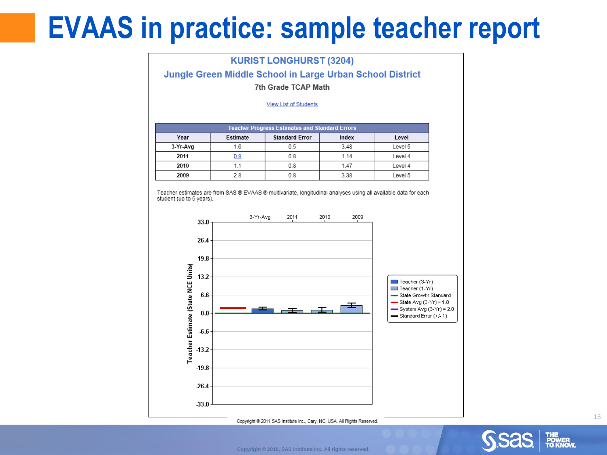#### **EVAAS in practice: sample teacher report**

#### **KURIST LONGHURST (3204)**

Jungle Green Middle School in Large Urban School District

#### 7th Grade TCAP Math

#### **View List of Students**

| <b>Teacher Progress Estimates and Standard Errors</b> |          |                       |       |         |  |  |  |  |
|-------------------------------------------------------|----------|-----------------------|-------|---------|--|--|--|--|
| Year                                                  | Estimate | <b>Standard Error</b> | Index | Level   |  |  |  |  |
| 3-Yr-Avg                                              | 1.6      | 0.5                   | 3.48  | Level 5 |  |  |  |  |
| 2011                                                  |          | 0 8                   | 1.14  | Level 4 |  |  |  |  |
| 2010                                                  |          | 08                    | 1.47  | Level 4 |  |  |  |  |
| 2009                                                  | 28       |                       | 3.38  | Level 5 |  |  |  |  |

Teacher estimates are from SAS ® EVAAS ® multivariate, longitudinal analyses using all available data for each student (up to 5 years).



Copyright @ 2011 SAS Institute Inc., Cary, NC, USA. All Rights Reserved.

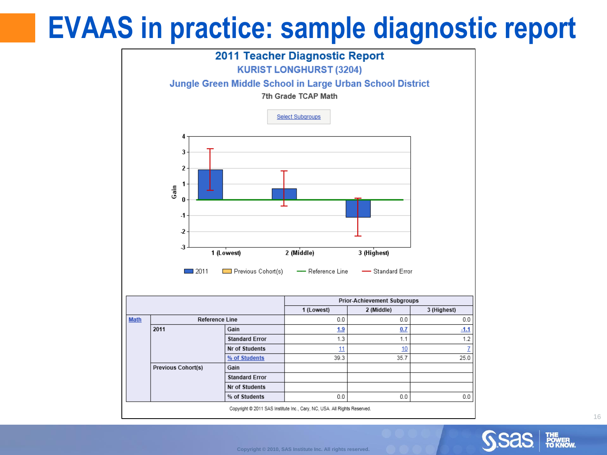## **EVAAS in practice: sample diagnostic report**

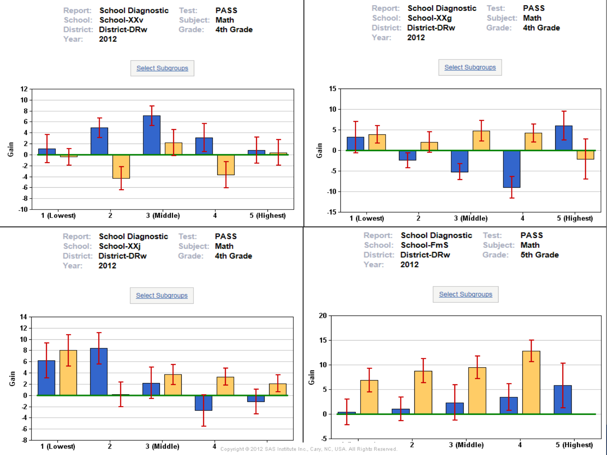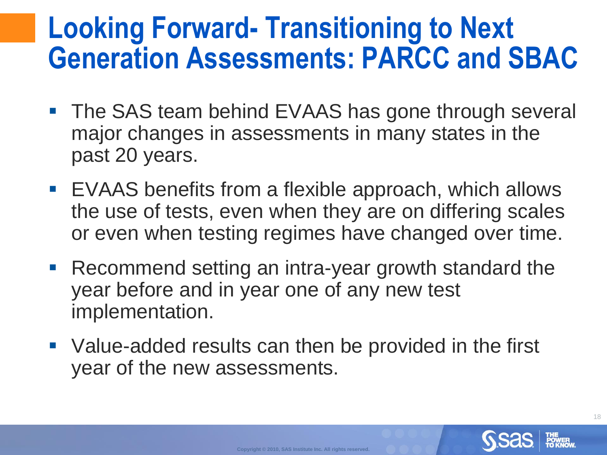#### **Looking Forward- Transitioning to Next Generation Assessments: PARCC and SBAC**

- **The SAS team behind EVAAS has gone through several** major changes in assessments in many states in the past 20 years.
- EVAAS benefits from a flexible approach, which allows the use of tests, even when they are on differing scales or even when testing regimes have changed over time.
- Recommend setting an intra-year growth standard the year before and in year one of any new test implementation.
- Value-added results can then be provided in the first year of the new assessments.



18

**Copyright © 2010, SAS Institute Inc. All rights reserved.**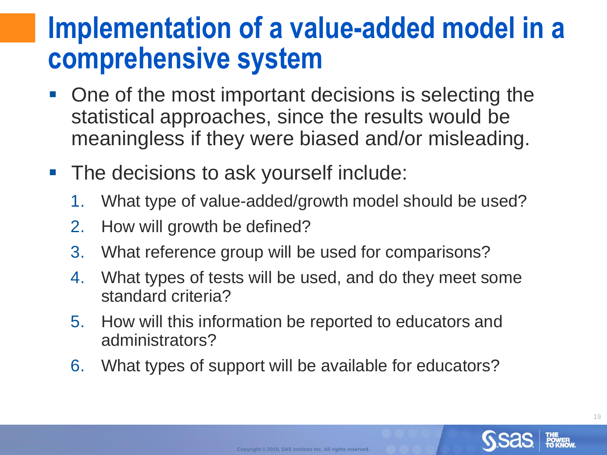#### **Implementation of a value-added model in a comprehensive system**

- One of the most important decisions is selecting the statistical approaches, since the results would be meaningless if they were biased and/or misleading.
- **The decisions to ask yourself include:** 
	- 1. What type of value-added/growth model should be used?
	- 2. How will growth be defined?
	- 3. What reference group will be used for comparisons?
	- 4. What types of tests will be used, and do they meet some standard criteria?
	- 5. How will this information be reported to educators and administrators?
	- 6. What types of support will be available for educators?

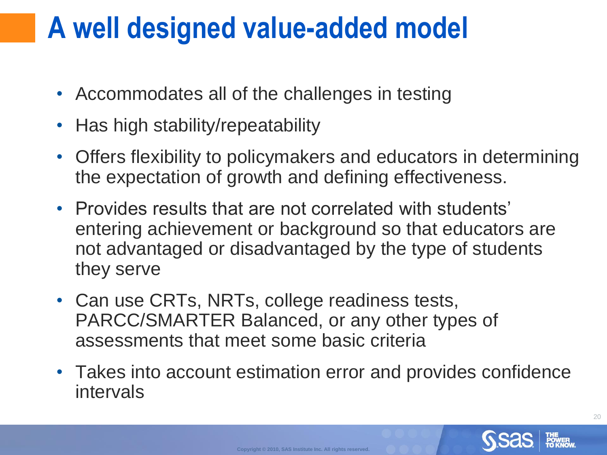### **A well designed value-added model**

- Accommodates all of the challenges in testing
- Has high stability/repeatability
- Offers flexibility to policymakers and educators in determining the expectation of growth and defining effectiveness.
- Provides results that are not correlated with students' entering achievement or background so that educators are not advantaged or disadvantaged by the type of students they serve
- Can use CRTs, NRTs, college readiness tests, PARCC/SMARTER Balanced, or any other types of assessments that meet some basic criteria
- Takes into account estimation error and provides confidence intervals